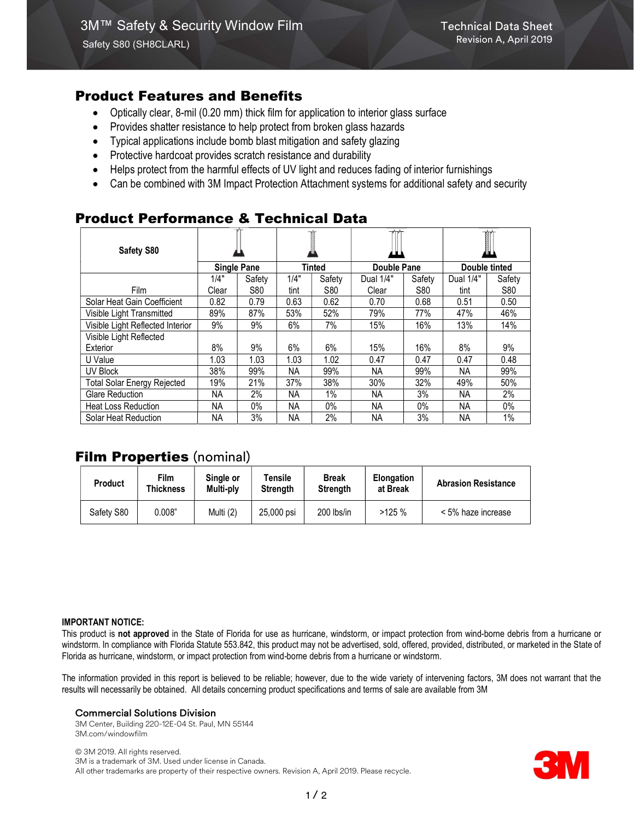# Product Features and Benefits

- Optically clear, 8-mil (0.20 mm) thick film for application to interior glass surface
- Provides shatter resistance to help protect from broken glass hazards
- Typical applications include bomb blast mitigation and safety glazing
- Protective hardcoat provides scratch resistance and durability
- Helps protect from the harmful effects of UV light and reduces fading of interior furnishings
- Can be combined with 3M Impact Protection Attachment systems for additional safety and security

# Product Performance & Technical Data

| Safety S80                         |           |                                     |           |        |                    |            | I                    |        |
|------------------------------------|-----------|-------------------------------------|-----------|--------|--------------------|------------|----------------------|--------|
|                                    |           | <b>Tinted</b><br><b>Single Pane</b> |           |        | <b>Double Pane</b> |            | <b>Double tinted</b> |        |
|                                    | 1/4"      | Safety                              | 1/4"      | Safety | Dual 1/4"          | Safety     | Dual 1/4"            | Safety |
| <b>Film</b>                        | Clear     | <b>S80</b>                          | tint      | S80    | Clear              | <b>S80</b> | tint                 | S80    |
| Solar Heat Gain Coefficient        | 0.82      | 0.79                                | 0.63      | 0.62   | 0.70               | 0.68       | 0.51                 | 0.50   |
| Visible Light Transmitted          | 89%       | 87%                                 | 53%       | 52%    | 79%                | 77%        | 47%                  | 46%    |
| Visible Light Reflected Interior   | 9%        | 9%                                  | 6%        | 7%     | 15%                | 16%        | 13%                  | 14%    |
| Visible Light Reflected            |           |                                     |           |        |                    |            |                      |        |
| Exterior                           | 8%        | 9%                                  | $6\%$     | 6%     | 15%                | 16%        | 8%                   | 9%     |
| U Value                            | 1.03      | 1.03                                | 1.03      | 1.02   | 0.47               | 0.47       | 0.47                 | 0.48   |
| UV Block                           | 38%       | 99%                                 | <b>NA</b> | 99%    | NA.                | 99%        | ΝA                   | 99%    |
| <b>Total Solar Energy Rejected</b> | 19%       | 21%                                 | 37%       | 38%    | 30%                | 32%        | 49%                  | 50%    |
| <b>Glare Reduction</b>             | NA.       | 2%                                  | <b>NA</b> | 1%     | <b>NA</b>          | 3%         | <b>NA</b>            | 2%     |
| <b>Heat Loss Reduction</b>         | NA.       | $0\%$                               | NA.       | $0\%$  | NA.                | $0\%$      | NA                   | 0%     |
| Solar Heat Reduction               | <b>NA</b> | 3%                                  | <b>NA</b> | 2%     | <b>NA</b>          | 3%         | <b>NA</b>            | 1%     |

# Film Properties (nominal)

| <b>Product</b> | Film<br>Thickness | Single or<br>Multi-ply | Tensile<br><b>Strength</b> | <b>Break</b><br><b>Strength</b> | <b>Elongation</b><br>at Break | <b>Abrasion Resistance</b> |
|----------------|-------------------|------------------------|----------------------------|---------------------------------|-------------------------------|----------------------------|
| Safety S80     | 0.008"            | Multi (2)              | 25,000 psi                 | 200 lbs/in                      | >125%                         | < 5% haze increase         |

#### IMPORTANT NOTICE:

This product is not approved in the State of Florida for use as hurricane, windstorm, or impact protection from wind-borne debris from a hurricane or windstorm. In compliance with Florida Statute 553.842, this product may not be advertised, sold, offered, provided, distributed, or marketed in the State of Florida as hurricane, windstorm, or impact protection from wind-borne debris from a hurricane or windstorm.

The information provided in this report is believed to be reliable; however, due to the wide variety of intervening factors, 3M does not warrant that the results will necessarily be obtained. All details concerning product specifications and terms of sale are available from 3M

### Commercial Solutions Division

3M Center, Building 220-12E-04 St. Paul, MN 55144 3M.com/windowfilm

© 3M 2019. All rights reserved. 3M is a trademark of 3M. Used under license in Canada. All other trademarks are property of their respective owners. Revision A, April 2019. Please recycle.